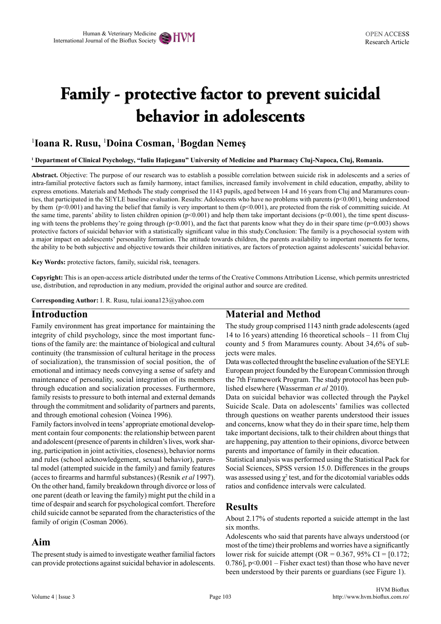# **Family - protective factor to prevent suicidal behavior in adolescents**

# 1 **Ioana R. Rusu,** <sup>1</sup> **Doina Cosman,** <sup>1</sup> **Bogdan Nemeş**

#### **1 Department of Clinical Psychology, "Iuliu Haţieganu" University of Medicine and Pharmacy Cluj-Napoca, Cluj, Romania.**

**Abstract.** Objective: The purpose of our research was to establish a possible correlation between suicide risk in adolescents and a series of intra-familial protective factors such as family harmony, intact families, increased family involvement in child education, empathy, ability to express emotions. Materials and Methods The study comprised the 1143 pupils, aged between 14 and 16 years from Cluj and Maramures counties, that participated in the SEYLE baseline evaluation. Results: Adolescents who have no problems with parents (p<0.001), being understood by them (p<0.001) and having the belief that family is very important to them (p<0.001), are protected from the risk of committing suicide. At the same time, parents' ability to listen children opinion ( $p<0.001$ ) and help them take important decisions ( $p<0.001$ ), the time spent discussing with teens the problems they're going through ( $p<0.001$ ), and the fact that parents know what they do in their spare time ( $p=0.003$ ) shows protective factors of suicidal behavior with a statistically significant value in this study.Conclusion: The family is a psychosocial system with a major impact on adolescents' personality formation. The attitude towards children, the parents availability to important moments for teens, the ability to be both subjective and objective towards their children initiatives, are factors of protection against adolescents' suicidal behavior.

**Key Words:** protective factors, family, suicidal risk, teenagers.

**Copyright:** This is an open-access article distributed under the terms of the Creative Commons Attribution License, which permits unrestricted use, distribution, and reproduction in any medium, provided the original author and source are credited.

**Corresponding Author:** I. R. Rusu, tulai.ioana123@yahoo.com

#### **Introduction**

Family environment has great importance for maintaining the integrity of child psychology, since the most important functions of the family are: the maintance of biological and cultural continuity (the transmission of cultural heritage in the process of socialization), the transmission of social position, the of emotional and intimacy needs conveying a sense of safety and maintenance of personality, social integration of its members through education and socialization processes. Furthermore, family resists to pressure to both internal and external demands through the commitment and solidarity of partners and parents, and through emotional cohesion (Voinea 1996).

Family factors involved in teens' appropriate emotional development contain four components: the relationship between parent and adolescent (presence of parents in children's lives, work sharing, participation in joint activities, closeness), behavior norms and rules (school acknowledgement, sexual behavior), parental model (attempted suicide in the family) and family features (acces to firearms and harmful substances) (Resnik *et al* 1997). On the other hand, family breakdown through divorce or loss of one parent (death or leaving the family) might put the child in a time of despair and search for psychological comfort. Therefore child suicide cannot be separated from the characteristics of the family of origin (Cosman 2006).

# **Aim**

The present study is aimed to investigate weather familial factors can provide protections against suicidal behavior in adolescents.

#### **Material and Method**

The study group comprised 1143 ninth grade adolescents (aged 14 to 16 years) attending 16 theoretical schools – 11 from Cluj county and 5 from Maramures county. About 34,6% of subjects were males.

Data was collected throught the baseline evaluation of the SEYLE European project founded by the European Commission through the 7th Framework Program. The study protocol has been published elsewhere (Wasserman *et al* 2010).

Data on suicidal behavior was collected through the Paykel Suicide Scale. Data on adolescents' families was collected through questions on weather parents understood their issues and concerns, know what they do in their spare time, help them take important decisions, talk to their children about things that are happening, pay attention to their opinions, divorce between parents and importance of family in their education.

Statistical analysis was performed using the Statistical Pack for Social Sciences, SPSS version 15.0. Differences in the groups was assessed using  $\chi^2$  test, and for the dicotomial variables odds ratios and confidence intervals were calculated.

#### **Results**

About 2.17% of students reported a suicide attempt in the last six months.

Adolescents who said that parents have always understood (or most of the time) their problems and worries have a significantly lower risk for suicide attempt (OR =  $0.367$ , 95% CI =  $[0.172]$ ; 0.786], p<0.001 – Fisher exact test) than those who have never been understood by their parents or guardians (see Figure 1).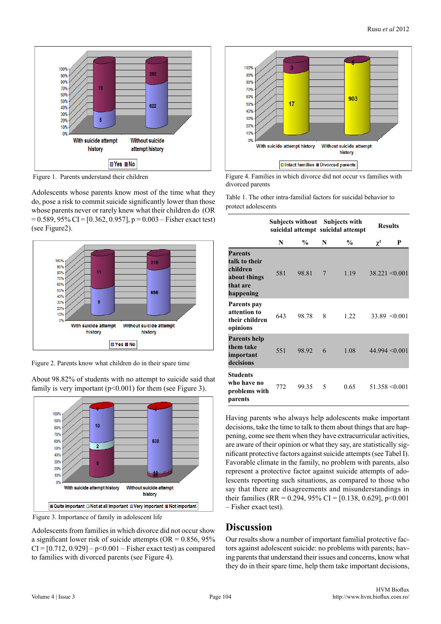

Figure 1. Parents understand their children

Adolescents whose parents know most of the time what they do, pose a risk to commit suicide significantly lower than those whose parents never or rarely knew what their children do (OR  $= 0.589, 95\% \text{ CI} = [0.362, 0.957], p = 0.003 - \text{Fisher exact test}$ (see Figure2).



Figure 2. Parents know what children do in their spare time

About 98.82% of students with no attempt to suicide said that family is very important  $(p<0.001)$  for them (see Figure 3).



Figure 3. Importance of family in adolescent life

Adolescents from families in which divorce did not occur show a significant lower risk of suicide attempts ( $OR = 0.856$ , 95%)  $CI = [0.712, 0.929] - p \le 0.001$  – Fisher exact test) as compared to families with divorced parents (see Figure 4).





Table 1. The other intra-familial factors for suicidal behavior to protect adolescents

|                                                                                      | Subjects without |               | <b>Subjects with</b><br>suicidal attempt suicidal attempt |               | <b>Results</b> |                    |
|--------------------------------------------------------------------------------------|------------------|---------------|-----------------------------------------------------------|---------------|----------------|--------------------|
|                                                                                      | N                | $\frac{0}{0}$ | N                                                         | $\frac{0}{0}$ | $\chi^2$       | P                  |
| <b>Parents</b><br>talk to their<br>children<br>about things<br>that are<br>happening | 581              | 98.81         | 7                                                         | 1.19          |                | $38.221 \le 0.001$ |
| Parents pay<br>attention to<br>their children<br>opinions                            | 643              | 98.78         | 8                                                         | 1.22          |                | $33.89 \le 0.001$  |
| <b>Parents help</b><br>them take<br>important<br>decisions                           | 551              | 98.92         | 6                                                         | 1.08          |                | $44.994 \le 0.001$ |
| <b>Students</b><br>who have no<br>problems with<br>parents                           | 772              | 99.35         | 5                                                         | 0.65          |                | $51.358 \le 0.001$ |

Having parents who always help adolescents make important decisions, take the time to talk to them about things that are happening, come see them when they have extracurricular activities, are aware of their opinion or what they say, are statistically significant protective factors against suicide attempts (see Tabel I). Favorable climate in the family, no problem with parents, also represent a protective factor against suicide attempts of adolescents reporting such situations, as compared to those who say that there are disagreements and misunderstandings in their families (RR = 0.294, 95% CI = [0.138, 0.629], p<0.001 – Fisher exact test).

#### **Discussion**

Our results show a number of important familial protective factors against adolescent suicide: no problems with parents; having parents that understand their issues and concerns, know what they do in their spare time, help them take important decisions,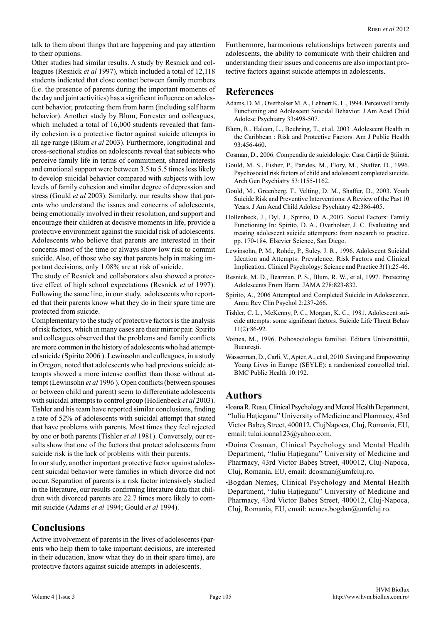talk to them about things that are happening and pay attention to their opinions.

Other studies had similar results. A study by Resnick and colleagues (Resnick *et al* 1997), which included a total of 12,118 students indicated that close contact between family members (i.e. the presence of parents during the important moments of the day and joint activities) has a significant influence on adolescent behavior, protecting them from harm (including self harm behavior). Another study by Blum, Forrester and colleagues, which included a total of 16,000 students revealed that family cohesion is a protective factor against suicide attempts in all age range (Blum *et al* 2003). Furthermore, longitudinal and cross-sectional studies on adolescents reveal that subjects who perceive family life in terms of commitment, shared interests and emotional support were between 3.5 to 5.5 times less likely to develop suicidal behavior compared with subjects with low levels of family cohesion and similar degree of depression and stress (Gould *et al* 2003). Similarly, our results show that parents who understand the issues and concerns of adolescents, being emotionally involved in their resolution, and support and encourage their children at decisive moments in life, provide a protective environment against the suicidal risk of adolescents. Adolescents who believe that parents are interested in their concerns most of the time or always show low risk to commit suicide. Also, of those who say that parents help in making important decisions, only 1.08% are at risk of suicide.

The study of Resnick and collaborators also showed a protective effect of high school expectations (Resnick *et al* 1997). Following the same line, in our study, adolescents who reported that their parents know what they do in their spare time are protected from suicide.

Complementary to the study of protective factors is the analysis of risk factors, which in many cases are their mirror pair. Spirito and colleagues observed that the problems and family conflicts are more common in the history of adolescents who had attempted suicide (Spirito 2006 ). Lewinsohn and colleagues, in a study in Oregon, noted that adolescents who had previous suicide attempts showed a more intense conflict than those without attempt (Lewinsohn *et al* 1996 ). Open conflicts (between spouses or between child and parent) seem to differentiate adolescents with suicidal attempts to control group (Hollenbeck *et al* 2003). Tishler and his team have reported similar conclusions, finding a rate of 52% of adolescents with suicidal attempt that stated that have problems with parents. Most times they feel rejected by one or both parents (Tishler *et al* 1981). Conversely, our results show that one of the factors that protect adolescents from suicide risk is the lack of problems with their parents.

In our study, another important protective factor against adolescent suicidal behavior were families in which divorce did not occur. Separation of parents is a risk factor intensively studied in the literature, our results confirming literature data that children with divorced parents are 22.7 times more likely to commit suicide (Adams *et al* 1994; Gould *et al* 1994).

# **Conclusions**

Active involvement of parents in the lives of adolescents (parents who help them to take important decisions, are interested in their education, know what they do in their spare time), are protective factors against suicide attempts in adolescents.

Furthermore, harmonious relationships between parents and adolescents, the ability to comunicate with their children and understanding their issues and concerns are also important protective factors against suicide attempts in adolescents.

### **References**

- Adams, D. M., Overholser M. A., Lehnert K. L., 1994. Perceived Family Functioning and Adolescent Suicidal Behavior. J Am Acad Child Adolesc Psychiatry 33:498-507.
- Blum, R., Halcon, L., Beuhring, T., et al, 2003 .Adolescent Health in the Caribbean : Risk and Protective Factors. Am J Public Health 93:456-460.
- Cosman, D., 2006. Compendiu de suicidologie. Casa Cărţii de Ştiintă.
- Gould, M. S., Fisher, P., Parides, M., Flory, M., Shaffer, D., 1996. Psychosocial risk factors of child and adolescent completed suicide. Arch Gen Psychiatry 53:1155-1162.
- Gould, M., Greenberg, T., Velting, D. M., Shaffer, D., 2003. Youth Suicide Risk and Preventive Interventions: A Review of the Past 10 Years. J Am Acad Child Adolesc Psychiatry 42:386-405.
- Hollenbeck, J., Dyl, J., Spirito, D. A.,2003. Social Factors: Family Functioning In: Spirito, D. A., Overholser, J. C. Evaluating and treating adolescent suicide attempters: from research to practice. pp. 170-184, Elsevier Science, San Diego.
- Lewinsohn, P. M., Rohde, P., Suley, J. R., 1996. Adolescent Suicidal Ideation and Attempts: Prevalence, Risk Factors and Clinical Implication. Clinical Psychology: Science and Practice 3(1):25-46.
- Resnick, M. D., Bearman, P. S., Blum, R. W., et al, 1997. Protecting Adolescents From Harm. JAMA 278:823-832.
- Spirito, A., 2006 Attempted and Completed Suicide in Adolescence. Annu Rev Clin Psychol 2:237-266.
- Tishler, C. L., McKenny, P. C., Morgan, K. C., 1981. Adolescent suicide attempts: some significant factors. Suicide Life Threat Behav 11(2):86-92.
- Voinea, M., 1996. Psihosociologia familiei. Editura Universităţii, Bucureşti.
- Wasserman, D., Carli, V., Apter, A., et al, 2010. Saving and Empowering Young Lives in Europe (SEYLE): a randomized controlled trial. BMC Public Health 10:192.

## **Authors**

- •Ioana R. Rusu, Clinical Psychology and Mental Health Department, "Iuliu Haţieganu" University of Medicine and Pharmacy, 43rd Victor Babeş Street, 400012, ClujNapoca, Cluj, Romania, EU, email: tulai.ioana123@yahoo.com.
- •Doina Cosman, Clinical Psychology and Mental Health Department, "Iuliu Haţieganu" University of Medicine and Pharmacy, 43rd Victor Babeş Street, 400012, Cluj-Napoca, Cluj, Romania, EU, email: dcosman@umfcluj.ro.
- •Bogdan Nemeş, Clinical Psychology and Mental Health Department, "Iuliu Haţieganu" University of Medicine and Pharmacy, 43rd Victor Babeş Street, 400012, Cluj-Napoca, Cluj, Romania, EU, email: nemes.bogdan@umfcluj.ro.